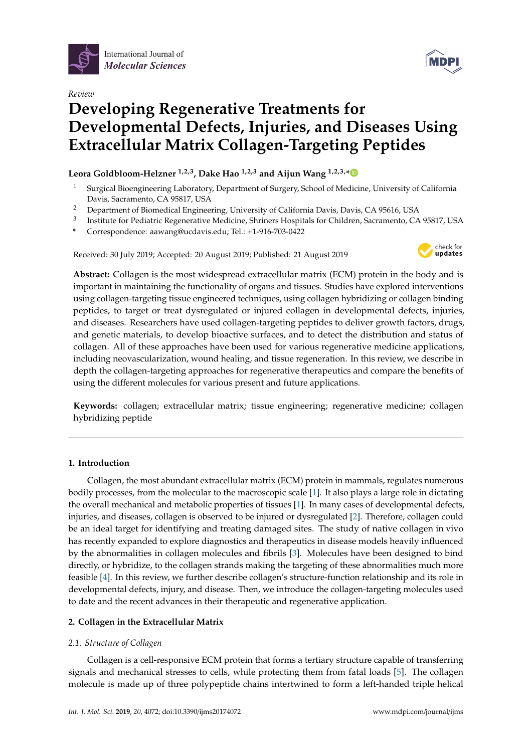





# **Developing Regenerative Treatments for Developmental Defects, Injuries, and Diseases Using Extracellular Matrix Collagen-Targeting Peptides**

# **Leora Goldbloom-Helzner 1,2,3, Dake Hao 1,2,3 and Aijun Wang 1,2,3,[\\*](https://orcid.org/0000-0002-2985-3627)**

- <sup>1</sup> Surgical Bioengineering Laboratory, Department of Surgery, School of Medicine, University of California Davis, Sacramento, CA 95817, USA
- <sup>2</sup> Department of Biomedical Engineering, University of California Davis, Davis, CA 95616, USA
- 3 Institute for Pediatric Regenerative Medicine, Shriners Hospitals for Children, Sacramento, CA 95817, USA
- **\*** Correspondence: aawang@ucdavis.edu; Tel.: +1-916-703-0422

Received: 30 July 2019; Accepted: 20 August 2019; Published: 21 August 2019



**Abstract:** Collagen is the most widespread extracellular matrix (ECM) protein in the body and is important in maintaining the functionality of organs and tissues. Studies have explored interventions using collagen-targeting tissue engineered techniques, using collagen hybridizing or collagen binding peptides, to target or treat dysregulated or injured collagen in developmental defects, injuries, and diseases. Researchers have used collagen-targeting peptides to deliver growth factors, drugs, and genetic materials, to develop bioactive surfaces, and to detect the distribution and status of collagen. All of these approaches have been used for various regenerative medicine applications, including neovascularization, wound healing, and tissue regeneration. In this review, we describe in depth the collagen-targeting approaches for regenerative therapeutics and compare the benefits of using the different molecules for various present and future applications.

**Keywords:** collagen; extracellular matrix; tissue engineering; regenerative medicine; collagen hybridizing peptide

# **1. Introduction**

Collagen, the most abundant extracellular matrix (ECM) protein in mammals, regulates numerous bodily processes, from the molecular to the macroscopic scale [\[1\]](#page-11-0). It also plays a large role in dictating the overall mechanical and metabolic properties of tissues [\[1\]](#page-11-0). In many cases of developmental defects, injuries, and diseases, collagen is observed to be injured or dysregulated [\[2\]](#page-11-1). Therefore, collagen could be an ideal target for identifying and treating damaged sites. The study of native collagen in vivo has recently expanded to explore diagnostics and therapeutics in disease models heavily influenced by the abnormalities in collagen molecules and fibrils [\[3\]](#page-11-2). Molecules have been designed to bind directly, or hybridize, to the collagen strands making the targeting of these abnormalities much more feasible [\[4\]](#page-11-3). In this review, we further describe collagen's structure-function relationship and its role in developmental defects, injury, and disease. Then, we introduce the collagen-targeting molecules used to date and the recent advances in their therapeutic and regenerative application.

# **2. Collagen in the Extracellular Matrix**

## *2.1. Structure of Collagen*

Collagen is a cell-responsive ECM protein that forms a tertiary structure capable of transferring signals and mechanical stresses to cells, while protecting them from fatal loads [\[5\]](#page-11-4). The collagen molecule is made up of three polypeptide chains intertwined to form a left-handed triple helical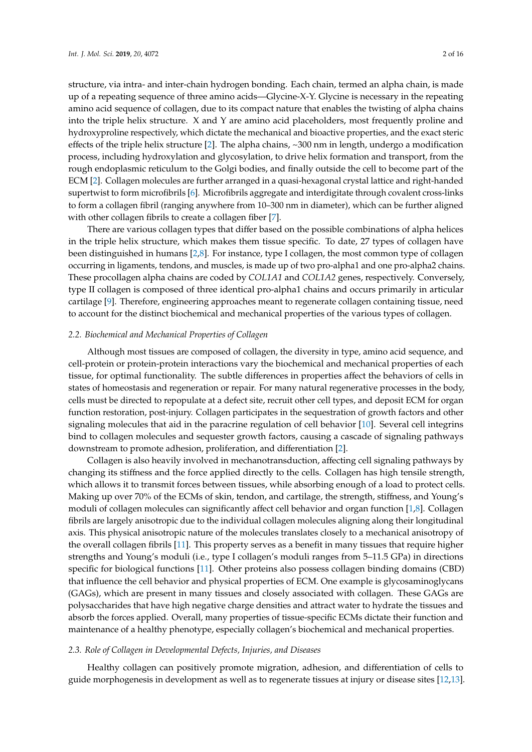structure, via intra- and inter-chain hydrogen bonding. Each chain, termed an alpha chain, is made up of a repeating sequence of three amino acids—Glycine-X-Y. Glycine is necessary in the repeating amino acid sequence of collagen, due to its compact nature that enables the twisting of alpha chains into the triple helix structure. X and Y are amino acid placeholders, most frequently proline and hydroxyproline respectively, which dictate the mechanical and bioactive properties, and the exact steric effects of the triple helix structure [\[2\]](#page-11-1). The alpha chains, ~300 nm in length, undergo a modification process, including hydroxylation and glycosylation, to drive helix formation and transport, from the rough endoplasmic reticulum to the Golgi bodies, and finally outside the cell to become part of the ECM [\[2\]](#page-11-1). Collagen molecules are further arranged in a quasi-hexagonal crystal lattice and right-handed supertwist to form microfibrils [\[6\]](#page-11-5). Microfibrils aggregate and interdigitate through covalent cross-links to form a collagen fibril (ranging anywhere from 10–300 nm in diameter), which can be further aligned with other collagen fibrils to create a collagen fiber [\[7\]](#page-11-6).

There are various collagen types that differ based on the possible combinations of alpha helices in the triple helix structure, which makes them tissue specific. To date, 27 types of collagen have been distinguished in humans [\[2](#page-11-1)[,8\]](#page-11-7). For instance, type I collagen, the most common type of collagen occurring in ligaments, tendons, and muscles, is made up of two pro-alpha1 and one pro-alpha2 chains. These procollagen alpha chains are coded by *COL1A1* and *COL1A2* genes, respectively. Conversely, type II collagen is composed of three identical pro-alpha1 chains and occurs primarily in articular cartilage [\[9\]](#page-11-8). Therefore, engineering approaches meant to regenerate collagen containing tissue, need to account for the distinct biochemical and mechanical properties of the various types of collagen.

## *2.2. Biochemical and Mechanical Properties of Collagen*

Although most tissues are composed of collagen, the diversity in type, amino acid sequence, and cell-protein or protein-protein interactions vary the biochemical and mechanical properties of each tissue, for optimal functionality. The subtle differences in properties affect the behaviors of cells in states of homeostasis and regeneration or repair. For many natural regenerative processes in the body, cells must be directed to repopulate at a defect site, recruit other cell types, and deposit ECM for organ function restoration, post-injury. Collagen participates in the sequestration of growth factors and other signaling molecules that aid in the paracrine regulation of cell behavior [\[10\]](#page-11-9). Several cell integrins bind to collagen molecules and sequester growth factors, causing a cascade of signaling pathways downstream to promote adhesion, proliferation, and differentiation [\[2\]](#page-11-1).

Collagen is also heavily involved in mechanotransduction, affecting cell signaling pathways by changing its stiffness and the force applied directly to the cells. Collagen has high tensile strength, which allows it to transmit forces between tissues, while absorbing enough of a load to protect cells. Making up over 70% of the ECMs of skin, tendon, and cartilage, the strength, stiffness, and Young's moduli of collagen molecules can significantly affect cell behavior and organ function [\[1,](#page-11-0)[8\]](#page-11-7). Collagen fibrils are largely anisotropic due to the individual collagen molecules aligning along their longitudinal axis. This physical anisotropic nature of the molecules translates closely to a mechanical anisotropy of the overall collagen fibrils [\[11\]](#page-11-10). This property serves as a benefit in many tissues that require higher strengths and Young's moduli (i.e., type I collagen's moduli ranges from 5–11.5 GPa) in directions specific for biological functions [\[11\]](#page-11-10). Other proteins also possess collagen binding domains (CBD) that influence the cell behavior and physical properties of ECM. One example is glycosaminoglycans (GAGs), which are present in many tissues and closely associated with collagen. These GAGs are polysaccharides that have high negative charge densities and attract water to hydrate the tissues and absorb the forces applied. Overall, many properties of tissue-specific ECMs dictate their function and maintenance of a healthy phenotype, especially collagen's biochemical and mechanical properties.

## *2.3. Role of Collagen in Developmental Defects, Injuries, and Diseases*

Healthy collagen can positively promote migration, adhesion, and differentiation of cells to guide morphogenesis in development as well as to regenerate tissues at injury or disease sites [\[12](#page-12-0)[,13\]](#page-12-1).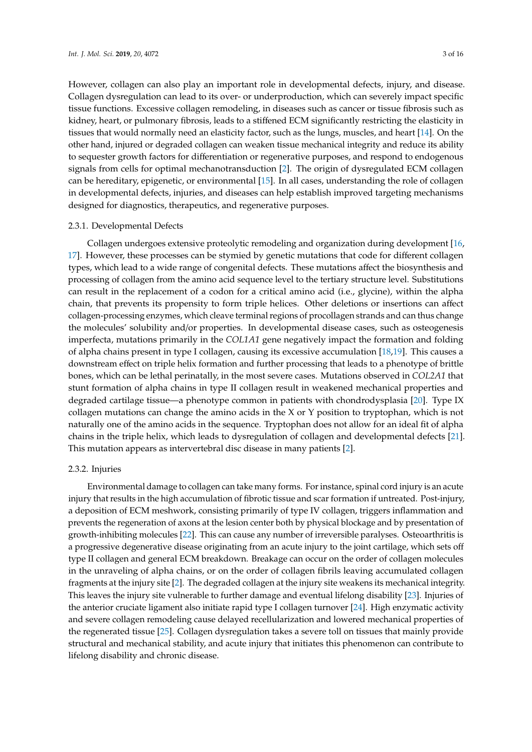However, collagen can also play an important role in developmental defects, injury, and disease. Collagen dysregulation can lead to its over- or underproduction, which can severely impact specific tissue functions. Excessive collagen remodeling, in diseases such as cancer or tissue fibrosis such as kidney, heart, or pulmonary fibrosis, leads to a stiffened ECM significantly restricting the elasticity in tissues that would normally need an elasticity factor, such as the lungs, muscles, and heart [\[14\]](#page-12-2). On the other hand, injured or degraded collagen can weaken tissue mechanical integrity and reduce its ability to sequester growth factors for differentiation or regenerative purposes, and respond to endogenous signals from cells for optimal mechanotransduction [\[2\]](#page-11-1). The origin of dysregulated ECM collagen can be hereditary, epigenetic, or environmental [\[15\]](#page-12-3). In all cases, understanding the role of collagen in developmental defects, injuries, and diseases can help establish improved targeting mechanisms designed for diagnostics, therapeutics, and regenerative purposes.

#### 2.3.1. Developmental Defects

Collagen undergoes extensive proteolytic remodeling and organization during development [\[16,](#page-12-4) [17\]](#page-12-5). However, these processes can be stymied by genetic mutations that code for different collagen types, which lead to a wide range of congenital defects. These mutations affect the biosynthesis and processing of collagen from the amino acid sequence level to the tertiary structure level. Substitutions can result in the replacement of a codon for a critical amino acid (i.e., glycine), within the alpha chain, that prevents its propensity to form triple helices. Other deletions or insertions can affect collagen-processing enzymes, which cleave terminal regions of procollagen strands and can thus change the molecules' solubility and/or properties. In developmental disease cases, such as osteogenesis imperfecta, mutations primarily in the *COL1A1* gene negatively impact the formation and folding of alpha chains present in type I collagen, causing its excessive accumulation [\[18](#page-12-6)[,19\]](#page-12-7). This causes a downstream effect on triple helix formation and further processing that leads to a phenotype of brittle bones, which can be lethal perinatally, in the most severe cases. Mutations observed in *COL2A1* that stunt formation of alpha chains in type II collagen result in weakened mechanical properties and degraded cartilage tissue—a phenotype common in patients with chondrodysplasia [\[20\]](#page-12-8). Type IX collagen mutations can change the amino acids in the X or Y position to tryptophan, which is not naturally one of the amino acids in the sequence. Tryptophan does not allow for an ideal fit of alpha chains in the triple helix, which leads to dysregulation of collagen and developmental defects [\[21\]](#page-12-9). This mutation appears as intervertebral disc disease in many patients [\[2\]](#page-11-1).

## 2.3.2. Injuries

Environmental damage to collagen can take many forms. For instance, spinal cord injury is an acute injury that results in the high accumulation of fibrotic tissue and scar formation if untreated. Post-injury, a deposition of ECM meshwork, consisting primarily of type IV collagen, triggers inflammation and prevents the regeneration of axons at the lesion center both by physical blockage and by presentation of growth-inhibiting molecules [\[22\]](#page-12-10). This can cause any number of irreversible paralyses. Osteoarthritis is a progressive degenerative disease originating from an acute injury to the joint cartilage, which sets off type II collagen and general ECM breakdown. Breakage can occur on the order of collagen molecules in the unraveling of alpha chains, or on the order of collagen fibrils leaving accumulated collagen fragments at the injury site [\[2\]](#page-11-1). The degraded collagen at the injury site weakens its mechanical integrity. This leaves the injury site vulnerable to further damage and eventual lifelong disability [\[23\]](#page-12-11). Injuries of the anterior cruciate ligament also initiate rapid type I collagen turnover [\[24\]](#page-12-12). High enzymatic activity and severe collagen remodeling cause delayed recellularization and lowered mechanical properties of the regenerated tissue [\[25\]](#page-12-13). Collagen dysregulation takes a severe toll on tissues that mainly provide structural and mechanical stability, and acute injury that initiates this phenomenon can contribute to lifelong disability and chronic disease.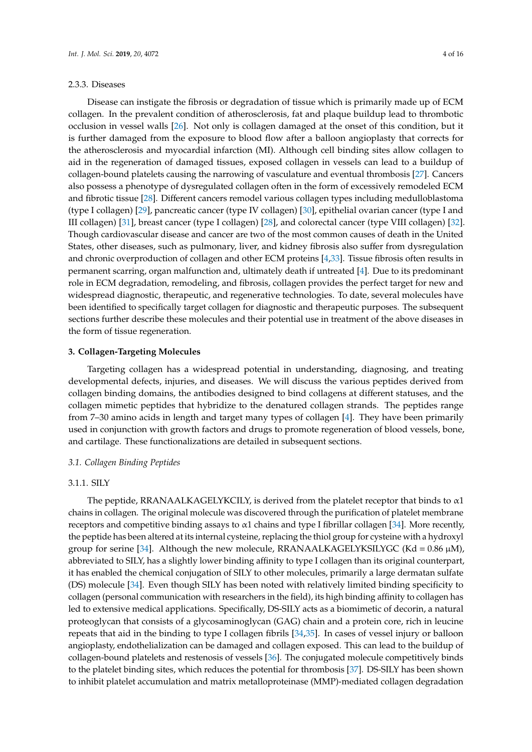#### 2.3.3. Diseases

Disease can instigate the fibrosis or degradation of tissue which is primarily made up of ECM collagen. In the prevalent condition of atherosclerosis, fat and plaque buildup lead to thrombotic occlusion in vessel walls [\[26\]](#page-12-14). Not only is collagen damaged at the onset of this condition, but it is further damaged from the exposure to blood flow after a balloon angioplasty that corrects for the atherosclerosis and myocardial infarction (MI). Although cell binding sites allow collagen to aid in the regeneration of damaged tissues, exposed collagen in vessels can lead to a buildup of collagen-bound platelets causing the narrowing of vasculature and eventual thrombosis [\[27\]](#page-12-15). Cancers also possess a phenotype of dysregulated collagen often in the form of excessively remodeled ECM and fibrotic tissue [\[28\]](#page-12-16). Different cancers remodel various collagen types including medulloblastoma (type I collagen) [\[29\]](#page-12-17), pancreatic cancer (type IV collagen) [\[30\]](#page-12-18), epithelial ovarian cancer (type I and III collagen) [\[31\]](#page-12-19), breast cancer (type I collagen) [\[28\]](#page-12-16), and colorectal cancer (type VIII collagen) [\[32\]](#page-12-20). Though cardiovascular disease and cancer are two of the most common causes of death in the United States, other diseases, such as pulmonary, liver, and kidney fibrosis also suffer from dysregulation and chronic overproduction of collagen and other ECM proteins [\[4](#page-11-3)[,33\]](#page-12-21). Tissue fibrosis often results in permanent scarring, organ malfunction and, ultimately death if untreated [\[4\]](#page-11-3). Due to its predominant role in ECM degradation, remodeling, and fibrosis, collagen provides the perfect target for new and widespread diagnostic, therapeutic, and regenerative technologies. To date, several molecules have been identified to specifically target collagen for diagnostic and therapeutic purposes. The subsequent sections further describe these molecules and their potential use in treatment of the above diseases in the form of tissue regeneration.

## **3. Collagen-Targeting Molecules**

Targeting collagen has a widespread potential in understanding, diagnosing, and treating developmental defects, injuries, and diseases. We will discuss the various peptides derived from collagen binding domains, the antibodies designed to bind collagens at different statuses, and the collagen mimetic peptides that hybridize to the denatured collagen strands. The peptides range from 7–30 amino acids in length and target many types of collagen [\[4\]](#page-11-3). They have been primarily used in conjunction with growth factors and drugs to promote regeneration of blood vessels, bone, and cartilage. These functionalizations are detailed in subsequent sections.

## *3.1. Collagen Binding Peptides*

## 3.1.1. SILY

The peptide, RRANAALKAGELYKCILY, is derived from the platelet receptor that binds to  $\alpha$ 1 chains in collagen. The original molecule was discovered through the purification of platelet membrane receptors and competitive binding assays to  $\alpha$ 1 chains and type I fibrillar collagen [\[34\]](#page-13-0). More recently, the peptide has been altered at its internal cysteine, replacing the thiol group for cysteine with a hydroxyl group for serine [\[34\]](#page-13-0). Although the new molecule, RRANAALKAGELYKSILYGC (Kd =  $0.86 \mu M$ ), abbreviated to SILY, has a slightly lower binding affinity to type I collagen than its original counterpart, it has enabled the chemical conjugation of SILY to other molecules, primarily a large dermatan sulfate (DS) molecule [\[34\]](#page-13-0). Even though SILY has been noted with relatively limited binding specificity to collagen (personal communication with researchers in the field), its high binding affinity to collagen has led to extensive medical applications. Specifically, DS-SILY acts as a biomimetic of decorin, a natural proteoglycan that consists of a glycosaminoglycan (GAG) chain and a protein core, rich in leucine repeats that aid in the binding to type I collagen fibrils [\[34](#page-13-0)[,35\]](#page-13-1). In cases of vessel injury or balloon angioplasty, endothelialization can be damaged and collagen exposed. This can lead to the buildup of collagen-bound platelets and restenosis of vessels [\[36\]](#page-13-2). The conjugated molecule competitively binds to the platelet binding sites, which reduces the potential for thrombosis [\[37\]](#page-13-3). DS-SILY has been shown to inhibit platelet accumulation and matrix metalloproteinase (MMP)-mediated collagen degradation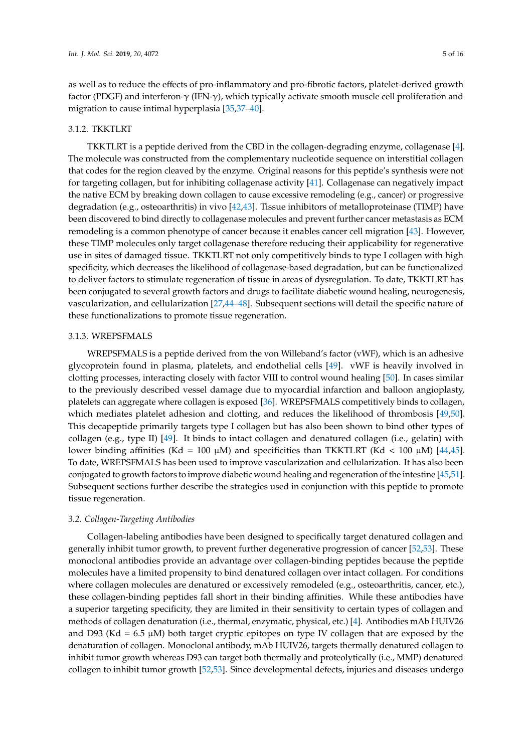as well as to reduce the effects of pro-inflammatory and pro-fibrotic factors, platelet-derived growth factor (PDGF) and interferon-γ (IFN-γ), which typically activate smooth muscle cell proliferation and migration to cause intimal hyperplasia [\[35](#page-13-1)[,37–](#page-13-3)[40\]](#page-13-4).

## 3.1.2. TKKTLRT

TKKTLRT is a peptide derived from the CBD in the collagen-degrading enzyme, collagenase [\[4\]](#page-11-3). The molecule was constructed from the complementary nucleotide sequence on interstitial collagen that codes for the region cleaved by the enzyme. Original reasons for this peptide's synthesis were not for targeting collagen, but for inhibiting collagenase activity [\[41\]](#page-13-5). Collagenase can negatively impact the native ECM by breaking down collagen to cause excessive remodeling (e.g., cancer) or progressive degradation (e.g., osteoarthritis) in vivo [\[42,](#page-13-6)[43\]](#page-13-7). Tissue inhibitors of metalloproteinase (TIMP) have been discovered to bind directly to collagenase molecules and prevent further cancer metastasis as ECM remodeling is a common phenotype of cancer because it enables cancer cell migration [\[43\]](#page-13-7). However, these TIMP molecules only target collagenase therefore reducing their applicability for regenerative use in sites of damaged tissue. TKKTLRT not only competitively binds to type I collagen with high specificity, which decreases the likelihood of collagenase-based degradation, but can be functionalized to deliver factors to stimulate regeneration of tissue in areas of dysregulation. To date, TKKTLRT has been conjugated to several growth factors and drugs to facilitate diabetic wound healing, neurogenesis, vascularization, and cellularization [\[27,](#page-12-15)[44–](#page-13-8)[48\]](#page-13-9). Subsequent sections will detail the specific nature of these functionalizations to promote tissue regeneration.

## 3.1.3. WREPSFMALS

WREPSFMALS is a peptide derived from the von Willeband's factor (vWF), which is an adhesive glycoprotein found in plasma, platelets, and endothelial cells [\[49\]](#page-13-10). vWF is heavily involved in clotting processes, interacting closely with factor VIII to control wound healing [\[50\]](#page-13-11). In cases similar to the previously described vessel damage due to myocardial infarction and balloon angioplasty, platelets can aggregate where collagen is exposed [\[36\]](#page-13-2). WREPSFMALS competitively binds to collagen, which mediates platelet adhesion and clotting, and reduces the likelihood of thrombosis [\[49,](#page-13-10)[50\]](#page-13-11). This decapeptide primarily targets type I collagen but has also been shown to bind other types of collagen (e.g., type II) [\[49\]](#page-13-10). It binds to intact collagen and denatured collagen (i.e., gelatin) with lower binding affinities (Kd = 100  $\mu$ M) and specificities than TKKTLRT (Kd < 100  $\mu$ M) [\[44,](#page-13-8)[45\]](#page-13-12). To date, WREPSFMALS has been used to improve vascularization and cellularization. It has also been conjugated to growth factors to improve diabetic wound healing and regeneration of the intestine [\[45](#page-13-12)[,51\]](#page-13-13). Subsequent sections further describe the strategies used in conjunction with this peptide to promote tissue regeneration.

#### *3.2. Collagen-Targeting Antibodies*

Collagen-labeling antibodies have been designed to specifically target denatured collagen and generally inhibit tumor growth, to prevent further degenerative progression of cancer [\[52,](#page-13-14)[53\]](#page-13-15). These monoclonal antibodies provide an advantage over collagen-binding peptides because the peptide molecules have a limited propensity to bind denatured collagen over intact collagen. For conditions where collagen molecules are denatured or excessively remodeled (e.g., osteoarthritis, cancer, etc.), these collagen-binding peptides fall short in their binding affinities. While these antibodies have a superior targeting specificity, they are limited in their sensitivity to certain types of collagen and methods of collagen denaturation (i.e., thermal, enzymatic, physical, etc.) [\[4\]](#page-11-3). Antibodies mAb HUIV26 and D93 (Kd =  $6.5 \mu$ M) both target cryptic epitopes on type IV collagen that are exposed by the denaturation of collagen. Monoclonal antibody, mAb HUIV26, targets thermally denatured collagen to inhibit tumor growth whereas D93 can target both thermally and proteolytically (i.e., MMP) denatured collagen to inhibit tumor growth [\[52,](#page-13-14)[53\]](#page-13-15). Since developmental defects, injuries and diseases undergo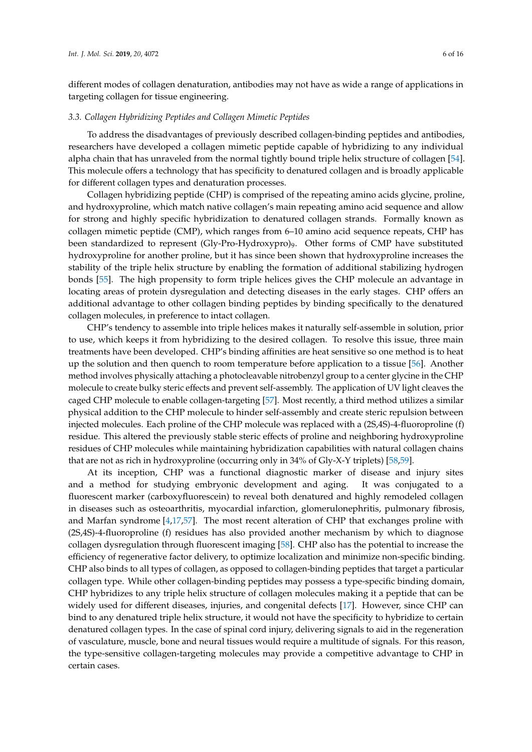different modes of collagen denaturation, antibodies may not have as wide a range of applications in targeting collagen for tissue engineering.

## *3.3. Collagen Hybridizing Peptides and Collagen Mimetic Peptides*

To address the disadvantages of previously described collagen-binding peptides and antibodies, researchers have developed a collagen mimetic peptide capable of hybridizing to any individual alpha chain that has unraveled from the normal tightly bound triple helix structure of collagen [\[54\]](#page-13-16). This molecule offers a technology that has specificity to denatured collagen and is broadly applicable for different collagen types and denaturation processes.

Collagen hybridizing peptide (CHP) is comprised of the repeating amino acids glycine, proline, and hydroxyproline, which match native collagen's main repeating amino acid sequence and allow for strong and highly specific hybridization to denatured collagen strands. Formally known as collagen mimetic peptide (CMP), which ranges from 6–10 amino acid sequence repeats, CHP has been standardized to represent (Gly-Pro-Hydroxypro)<sub>9</sub>. Other forms of CMP have substituted hydroxyproline for another proline, but it has since been shown that hydroxyproline increases the stability of the triple helix structure by enabling the formation of additional stabilizing hydrogen bonds [\[55\]](#page-13-17). The high propensity to form triple helices gives the CHP molecule an advantage in locating areas of protein dysregulation and detecting diseases in the early stages. CHP offers an additional advantage to other collagen binding peptides by binding specifically to the denatured collagen molecules, in preference to intact collagen.

CHP's tendency to assemble into triple helices makes it naturally self-assemble in solution, prior to use, which keeps it from hybridizing to the desired collagen. To resolve this issue, three main treatments have been developed. CHP's binding affinities are heat sensitive so one method is to heat up the solution and then quench to room temperature before application to a tissue [\[56\]](#page-14-0). Another method involves physically attaching a photocleavable nitrobenzyl group to a center glycine in the CHP molecule to create bulky steric effects and prevent self-assembly. The application of UV light cleaves the caged CHP molecule to enable collagen-targeting [\[57\]](#page-14-1). Most recently, a third method utilizes a similar physical addition to the CHP molecule to hinder self-assembly and create steric repulsion between injected molecules. Each proline of the CHP molecule was replaced with a (2S,4S)-4-fluoroproline (f) residue. This altered the previously stable steric effects of proline and neighboring hydroxyproline residues of CHP molecules while maintaining hybridization capabilities with natural collagen chains that are not as rich in hydroxyproline (occurring only in 34% of Gly-X-Y triplets) [\[58](#page-14-2)[,59\]](#page-14-3).

At its inception, CHP was a functional diagnostic marker of disease and injury sites and a method for studying embryonic development and aging. It was conjugated to a fluorescent marker (carboxyfluorescein) to reveal both denatured and highly remodeled collagen in diseases such as osteoarthritis, myocardial infarction, glomerulonephritis, pulmonary fibrosis, and Marfan syndrome  $[4,17,57]$  $[4,17,57]$  $[4,17,57]$ . The most recent alteration of CHP that exchanges proline with (2S,4S)-4-fluoroproline (f) residues has also provided another mechanism by which to diagnose collagen dysregulation through fluorescent imaging [\[58\]](#page-14-2). CHP also has the potential to increase the efficiency of regenerative factor delivery, to optimize localization and minimize non-specific binding. CHP also binds to all types of collagen, as opposed to collagen-binding peptides that target a particular collagen type. While other collagen-binding peptides may possess a type-specific binding domain, CHP hybridizes to any triple helix structure of collagen molecules making it a peptide that can be widely used for different diseases, injuries, and congenital defects [\[17\]](#page-12-5). However, since CHP can bind to any denatured triple helix structure, it would not have the specificity to hybridize to certain denatured collagen types. In the case of spinal cord injury, delivering signals to aid in the regeneration of vasculature, muscle, bone and neural tissues would require a multitude of signals. For this reason, the type-sensitive collagen-targeting molecules may provide a competitive advantage to CHP in certain cases.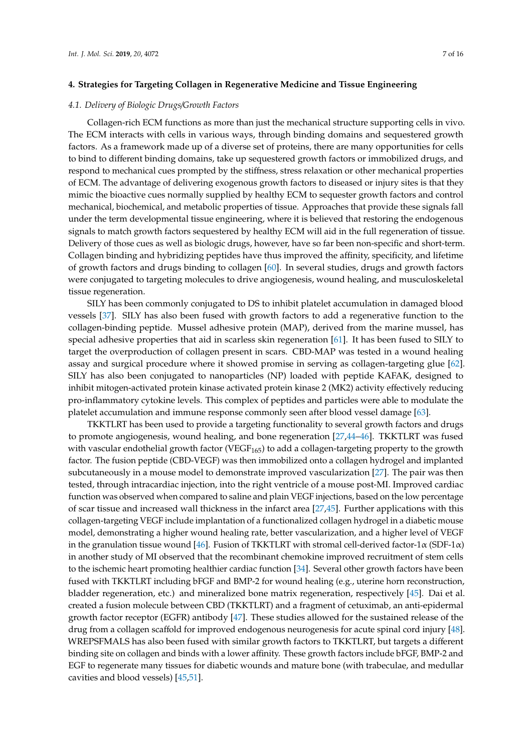## **4. Strategies for Targeting Collagen in Regenerative Medicine and Tissue Engineering**

#### *4.1. Delivery of Biologic Drugs*/*Growth Factors*

Collagen-rich ECM functions as more than just the mechanical structure supporting cells in vivo. The ECM interacts with cells in various ways, through binding domains and sequestered growth factors. As a framework made up of a diverse set of proteins, there are many opportunities for cells to bind to different binding domains, take up sequestered growth factors or immobilized drugs, and respond to mechanical cues prompted by the stiffness, stress relaxation or other mechanical properties of ECM. The advantage of delivering exogenous growth factors to diseased or injury sites is that they mimic the bioactive cues normally supplied by healthy ECM to sequester growth factors and control mechanical, biochemical, and metabolic properties of tissue. Approaches that provide these signals fall under the term developmental tissue engineering, where it is believed that restoring the endogenous signals to match growth factors sequestered by healthy ECM will aid in the full regeneration of tissue. Delivery of those cues as well as biologic drugs, however, have so far been non-specific and short-term. Collagen binding and hybridizing peptides have thus improved the affinity, specificity, and lifetime of growth factors and drugs binding to collagen [\[60\]](#page-14-4). In several studies, drugs and growth factors were conjugated to targeting molecules to drive angiogenesis, wound healing, and musculoskeletal tissue regeneration.

SILY has been commonly conjugated to DS to inhibit platelet accumulation in damaged blood vessels [\[37\]](#page-13-3). SILY has also been fused with growth factors to add a regenerative function to the collagen-binding peptide. Mussel adhesive protein (MAP), derived from the marine mussel, has special adhesive properties that aid in scarless skin regeneration [\[61\]](#page-14-5). It has been fused to SILY to target the overproduction of collagen present in scars. CBD-MAP was tested in a wound healing assay and surgical procedure where it showed promise in serving as collagen-targeting glue [\[62\]](#page-14-6). SILY has also been conjugated to nanoparticles (NP) loaded with peptide KAFAK, designed to inhibit mitogen-activated protein kinase activated protein kinase 2 (MK2) activity effectively reducing pro-inflammatory cytokine levels. This complex of peptides and particles were able to modulate the platelet accumulation and immune response commonly seen after blood vessel damage [\[63\]](#page-14-7).

TKKTLRT has been used to provide a targeting functionality to several growth factors and drugs to promote angiogenesis, wound healing, and bone regeneration [\[27,](#page-12-15)[44](#page-13-8)[–46\]](#page-13-18). TKKTLRT was fused with vascular endothelial growth factor (VEGF $_{165}$ ) to add a collagen-targeting property to the growth factor. The fusion peptide (CBD-VEGF) was then immobilized onto a collagen hydrogel and implanted subcutaneously in a mouse model to demonstrate improved vascularization [\[27\]](#page-12-15). The pair was then tested, through intracardiac injection, into the right ventricle of a mouse post-MI. Improved cardiac function was observed when compared to saline and plain VEGF injections, based on the low percentage of scar tissue and increased wall thickness in the infarct area [\[27](#page-12-15)[,45\]](#page-13-12). Further applications with this collagen-targeting VEGF include implantation of a functionalized collagen hydrogel in a diabetic mouse model, demonstrating a higher wound healing rate, better vascularization, and a higher level of VEGF in the granulation tissue wound [\[46\]](#page-13-18). Fusion of TKKTLRT with stromal cell-derived factor-1 $\alpha$  (SDF-1 $\alpha$ ) in another study of MI observed that the recombinant chemokine improved recruitment of stem cells to the ischemic heart promoting healthier cardiac function [\[34\]](#page-13-0). Several other growth factors have been fused with TKKTLRT including bFGF and BMP-2 for wound healing (e.g., uterine horn reconstruction, bladder regeneration, etc.) and mineralized bone matrix regeneration, respectively [\[45\]](#page-13-12). Dai et al. created a fusion molecule between CBD (TKKTLRT) and a fragment of cetuximab, an anti-epidermal growth factor receptor (EGFR) antibody [\[47\]](#page-13-19). These studies allowed for the sustained release of the drug from a collagen scaffold for improved endogenous neurogenesis for acute spinal cord injury [\[48\]](#page-13-9). WREPSFMALS has also been fused with similar growth factors to TKKTLRT, but targets a different binding site on collagen and binds with a lower affinity. These growth factors include bFGF, BMP-2 and EGF to regenerate many tissues for diabetic wounds and mature bone (with trabeculae, and medullar cavities and blood vessels) [\[45,](#page-13-12)[51\]](#page-13-13).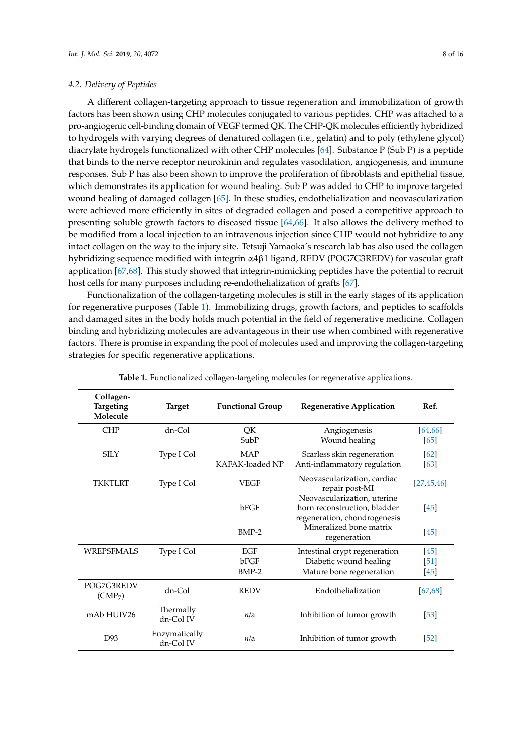## *4.2. Delivery of Peptides*

A different collagen-targeting approach to tissue regeneration and immobilization of growth factors has been shown using CHP molecules conjugated to various peptides. CHP was attached to a pro-angiogenic cell-binding domain of VEGF termed QK. The CHP-QK molecules efficiently hybridized to hydrogels with varying degrees of denatured collagen (i.e., gelatin) and to poly (ethylene glycol) diacrylate hydrogels functionalized with other CHP molecules [\[64\]](#page-14-8). Substance P (Sub P) is a peptide that binds to the nerve receptor neurokinin and regulates vasodilation, angiogenesis, and immune responses. Sub P has also been shown to improve the proliferation of fibroblasts and epithelial tissue, which demonstrates its application for wound healing. Sub P was added to CHP to improve targeted wound healing of damaged collagen [\[65\]](#page-14-9). In these studies, endothelialization and neovascularization were achieved more efficiently in sites of degraded collagen and posed a competitive approach to presenting soluble growth factors to diseased tissue [\[64,](#page-14-8)[66\]](#page-14-10). It also allows the delivery method to be modified from a local injection to an intravenous injection since CHP would not hybridize to any intact collagen on the way to the injury site. Tetsuji Yamaoka's research lab has also used the collagen hybridizing sequence modified with integrin α4β1 ligand, REDV (POG7G3REDV) for vascular graft application [\[67,](#page-14-11)[68\]](#page-14-12). This study showed that integrin-mimicking peptides have the potential to recruit host cells for many purposes including re-endothelialization of grafts [\[67\]](#page-14-11).

Functionalization of the collagen-targeting molecules is still in the early stages of its application for regenerative purposes (Table [1\)](#page-7-0). Immobilizing drugs, growth factors, and peptides to scaffolds and damaged sites in the body holds much potential in the field of regenerative medicine. Collagen binding and hybridizing molecules are advantageous in their use when combined with regenerative factors. There is promise in expanding the pool of molecules used and improving the collagen-targeting strategies for specific regenerative applications.

<span id="page-7-0"></span>

| Collagen-<br>Targeting<br>Molecule | <b>Target</b>              | <b>Functional Group</b> | <b>Regenerative Application</b>                                                             | Ref.               |
|------------------------------------|----------------------------|-------------------------|---------------------------------------------------------------------------------------------|--------------------|
| <b>CHP</b>                         | $dn$ -Col                  | QK                      | Angiogenesis                                                                                | [64, 66]           |
|                                    |                            | SubP                    | Wound healing                                                                               | [65]               |
| <b>SILY</b>                        | Type I Col                 | <b>MAP</b>              | Scarless skin regeneration                                                                  | [62]               |
|                                    |                            | <b>KAFAK-loaded NP</b>  | Anti-inflammatory regulation                                                                | [63]               |
| <b>TKKTLRT</b>                     | Type I Col                 | <b>VEGF</b>             | Neovascularization, cardiac<br>repair post-MI                                               | [27, 45, 46]       |
|                                    |                            | bFGF                    | Neovascularization, uterine<br>horn reconstruction, bladder<br>regeneration, chondrogenesis | $\lceil 45 \rceil$ |
|                                    |                            | $BMP-2$                 | Mineralized bone matrix<br>regeneration                                                     | $[45]$             |
| <b>WREPSFMALS</b>                  | Type I Col                 | EGF                     | Intestinal crypt regeneration                                                               | $\lceil 45 \rceil$ |
|                                    |                            | bFGF                    | Diabetic wound healing                                                                      | [51]               |
|                                    |                            | $BMP-2$                 | Mature bone regeneration                                                                    | $[45]$             |
| POG7G3REDV<br>(CMP <sub>7</sub> )  | dn-Col                     | <b>REDV</b>             | Endothelialization                                                                          | [67, 68]           |
| mAb HUIV26                         | Thermally<br>$dn$ -Col IV  | n/a                     | Inhibition of tumor growth                                                                  | $[53]$             |
| D93                                | Enzymatically<br>dn-Col IV | n/a                     | Inhibition of tumor growth                                                                  | $\lceil 52 \rceil$ |

**Table 1.** Functionalized collagen-targeting molecules for regenerative applications.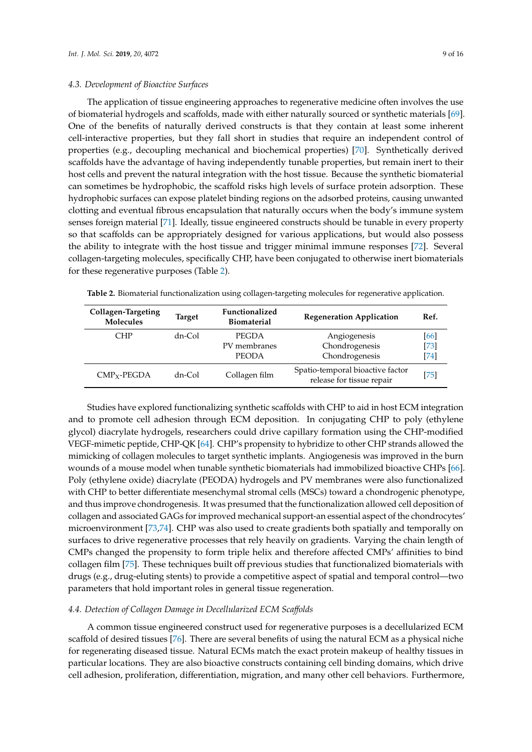## *4.3. Development of Bioactive Surfaces*

The application of tissue engineering approaches to regenerative medicine often involves the use of biomaterial hydrogels and scaffolds, made with either naturally sourced or synthetic materials [\[69\]](#page-14-13). One of the benefits of naturally derived constructs is that they contain at least some inherent cell-interactive properties, but they fall short in studies that require an independent control of properties (e.g., decoupling mechanical and biochemical properties) [\[70\]](#page-14-14). Synthetically derived scaffolds have the advantage of having independently tunable properties, but remain inert to their host cells and prevent the natural integration with the host tissue. Because the synthetic biomaterial can sometimes be hydrophobic, the scaffold risks high levels of surface protein adsorption. These hydrophobic surfaces can expose platelet binding regions on the adsorbed proteins, causing unwanted clotting and eventual fibrous encapsulation that naturally occurs when the body's immune system senses foreign material [\[71\]](#page-14-15). Ideally, tissue engineered constructs should be tunable in every property so that scaffolds can be appropriately designed for various applications, but would also possess the ability to integrate with the host tissue and trigger minimal immune responses [\[72\]](#page-14-16). Several collagen-targeting molecules, specifically CHP, have been conjugated to otherwise inert biomaterials for these regenerative purposes (Table [2\)](#page-8-0).

| Collagen-Targeting<br>Molecules | <b>Target</b> | Functionalized<br><b>Biomaterial</b> | <b>Regeneration Application</b>                               | Ref. |
|---------------------------------|---------------|--------------------------------------|---------------------------------------------------------------|------|
| <b>CHP</b>                      | $dn$ -Col     | <b>PEGDA</b>                         | Angiogenesis                                                  | [66] |
|                                 |               | PV membranes                         | Chondrogenesis                                                | [73] |
|                                 |               | <b>PEODA</b>                         | Chondrogenesis                                                | [74] |
| $CMPX$ -PEGDA                   | $dn$ -Col     | Collagen film                        | Spatio-temporal bioactive factor<br>release for tissue repair | [75] |

<span id="page-8-0"></span>**Table 2.** Biomaterial functionalization using collagen-targeting molecules for regenerative application.

Studies have explored functionalizing synthetic scaffolds with CHP to aid in host ECM integration and to promote cell adhesion through ECM deposition. In conjugating CHP to poly (ethylene glycol) diacrylate hydrogels, researchers could drive capillary formation using the CHP-modified VEGF-mimetic peptide, CHP-QK [\[64\]](#page-14-8). CHP's propensity to hybridize to other CHP strands allowed the mimicking of collagen molecules to target synthetic implants. Angiogenesis was improved in the burn wounds of a mouse model when tunable synthetic biomaterials had immobilized bioactive CHPs [\[66\]](#page-14-10). Poly (ethylene oxide) diacrylate (PEODA) hydrogels and PV membranes were also functionalized with CHP to better differentiate mesenchymal stromal cells (MSCs) toward a chondrogenic phenotype, and thus improve chondrogenesis. It was presumed that the functionalization allowed cell deposition of collagen and associated GAGs for improved mechanical support-an essential aspect of the chondrocytes' microenvironment [\[73,](#page-14-17)[74\]](#page-14-18). CHP was also used to create gradients both spatially and temporally on surfaces to drive regenerative processes that rely heavily on gradients. Varying the chain length of CMPs changed the propensity to form triple helix and therefore affected CMPs' affinities to bind collagen film [\[75\]](#page-14-19). These techniques built off previous studies that functionalized biomaterials with drugs (e.g., drug-eluting stents) to provide a competitive aspect of spatial and temporal control—two parameters that hold important roles in general tissue regeneration.

## *4.4. Detection of Collagen Damage in Decellularized ECM Sca*ff*olds*

A common tissue engineered construct used for regenerative purposes is a decellularized ECM scaffold of desired tissues [\[76\]](#page-14-20). There are several benefits of using the natural ECM as a physical niche for regenerating diseased tissue. Natural ECMs match the exact protein makeup of healthy tissues in particular locations. They are also bioactive constructs containing cell binding domains, which drive cell adhesion, proliferation, differentiation, migration, and many other cell behaviors. Furthermore,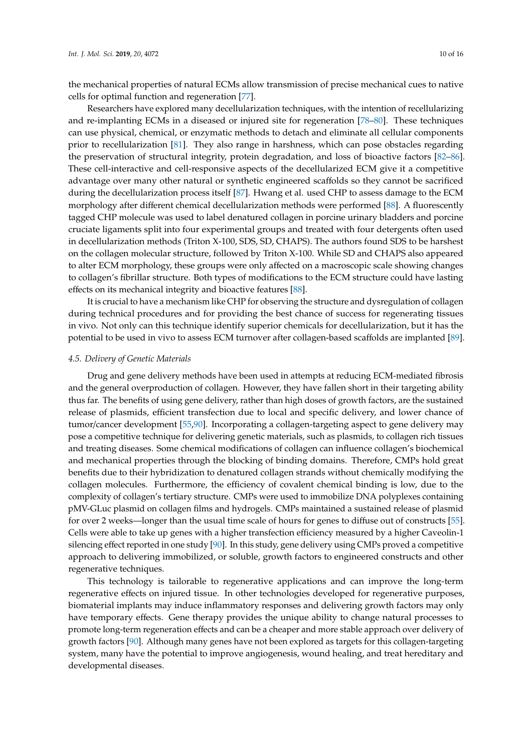the mechanical properties of natural ECMs allow transmission of precise mechanical cues to native cells for optimal function and regeneration [\[77\]](#page-14-21).

Researchers have explored many decellularization techniques, with the intention of recellularizing and re-implanting ECMs in a diseased or injured site for regeneration [\[78–](#page-15-0)[80\]](#page-15-1). These techniques can use physical, chemical, or enzymatic methods to detach and eliminate all cellular components prior to recellularization [\[81\]](#page-15-2). They also range in harshness, which can pose obstacles regarding the preservation of structural integrity, protein degradation, and loss of bioactive factors [\[82–](#page-15-3)[86\]](#page-15-4). These cell-interactive and cell-responsive aspects of the decellularized ECM give it a competitive advantage over many other natural or synthetic engineered scaffolds so they cannot be sacrificed during the decellularization process itself [\[87\]](#page-15-5). Hwang et al. used CHP to assess damage to the ECM morphology after different chemical decellularization methods were performed [\[88\]](#page-15-6). A fluorescently tagged CHP molecule was used to label denatured collagen in porcine urinary bladders and porcine cruciate ligaments split into four experimental groups and treated with four detergents often used in decellularization methods (Triton X-100, SDS, SD, CHAPS). The authors found SDS to be harshest on the collagen molecular structure, followed by Triton X-100. While SD and CHAPS also appeared to alter ECM morphology, these groups were only affected on a macroscopic scale showing changes to collagen's fibrillar structure. Both types of modifications to the ECM structure could have lasting effects on its mechanical integrity and bioactive features [\[88\]](#page-15-6).

It is crucial to have a mechanism like CHP for observing the structure and dysregulation of collagen during technical procedures and for providing the best chance of success for regenerating tissues in vivo. Not only can this technique identify superior chemicals for decellularization, but it has the potential to be used in vivo to assess ECM turnover after collagen-based scaffolds are implanted [\[89\]](#page-15-7).

#### *4.5. Delivery of Genetic Materials*

Drug and gene delivery methods have been used in attempts at reducing ECM-mediated fibrosis and the general overproduction of collagen. However, they have fallen short in their targeting ability thus far. The benefits of using gene delivery, rather than high doses of growth factors, are the sustained release of plasmids, efficient transfection due to local and specific delivery, and lower chance of tumor/cancer development [\[55](#page-13-17)[,90\]](#page-15-8). Incorporating a collagen-targeting aspect to gene delivery may pose a competitive technique for delivering genetic materials, such as plasmids, to collagen rich tissues and treating diseases. Some chemical modifications of collagen can influence collagen's biochemical and mechanical properties through the blocking of binding domains. Therefore, CMPs hold great benefits due to their hybridization to denatured collagen strands without chemically modifying the collagen molecules. Furthermore, the efficiency of covalent chemical binding is low, due to the complexity of collagen's tertiary structure. CMPs were used to immobilize DNA polyplexes containing pMV-GLuc plasmid on collagen films and hydrogels. CMPs maintained a sustained release of plasmid for over 2 weeks—longer than the usual time scale of hours for genes to diffuse out of constructs [\[55\]](#page-13-17). Cells were able to take up genes with a higher transfection efficiency measured by a higher Caveolin-1 silencing effect reported in one study [\[90\]](#page-15-8). In this study, gene delivery using CMPs proved a competitive approach to delivering immobilized, or soluble, growth factors to engineered constructs and other regenerative techniques.

This technology is tailorable to regenerative applications and can improve the long-term regenerative effects on injured tissue. In other technologies developed for regenerative purposes, biomaterial implants may induce inflammatory responses and delivering growth factors may only have temporary effects. Gene therapy provides the unique ability to change natural processes to promote long-term regeneration effects and can be a cheaper and more stable approach over delivery of growth factors [\[90\]](#page-15-8). Although many genes have not been explored as targets for this collagen-targeting system, many have the potential to improve angiogenesis, wound healing, and treat hereditary and developmental diseases.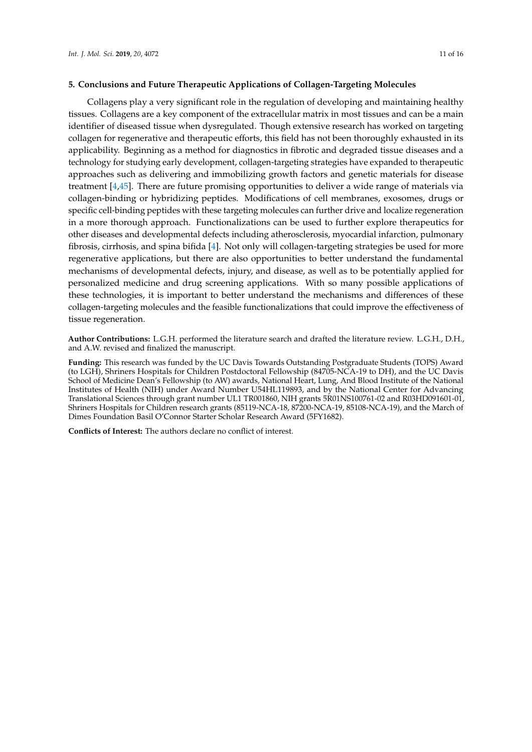## **5. Conclusions and Future Therapeutic Applications of Collagen-Targeting Molecules**

Collagens play a very significant role in the regulation of developing and maintaining healthy tissues. Collagens are a key component of the extracellular matrix in most tissues and can be a main identifier of diseased tissue when dysregulated. Though extensive research has worked on targeting collagen for regenerative and therapeutic efforts, this field has not been thoroughly exhausted in its applicability. Beginning as a method for diagnostics in fibrotic and degraded tissue diseases and a technology for studying early development, collagen-targeting strategies have expanded to therapeutic approaches such as delivering and immobilizing growth factors and genetic materials for disease treatment [\[4,](#page-11-3)[45\]](#page-13-12). There are future promising opportunities to deliver a wide range of materials via collagen-binding or hybridizing peptides. Modifications of cell membranes, exosomes, drugs or specific cell-binding peptides with these targeting molecules can further drive and localize regeneration in a more thorough approach. Functionalizations can be used to further explore therapeutics for other diseases and developmental defects including atherosclerosis, myocardial infarction, pulmonary fibrosis, cirrhosis, and spina bifida [\[4\]](#page-11-3). Not only will collagen-targeting strategies be used for more regenerative applications, but there are also opportunities to better understand the fundamental mechanisms of developmental defects, injury, and disease, as well as to be potentially applied for personalized medicine and drug screening applications. With so many possible applications of these technologies, it is important to better understand the mechanisms and differences of these collagen-targeting molecules and the feasible functionalizations that could improve the effectiveness of tissue regeneration.

**Author Contributions:** L.G.H. performed the literature search and drafted the literature review. L.G.H., D.H., and A.W. revised and finalized the manuscript.

**Funding:** This research was funded by the UC Davis Towards Outstanding Postgraduate Students (TOPS) Award (to LGH), Shriners Hospitals for Children Postdoctoral Fellowship (84705-NCA-19 to DH), and the UC Davis School of Medicine Dean's Fellowship (to AW) awards, National Heart, Lung, And Blood Institute of the National Institutes of Health (NIH) under Award Number U54HL119893, and by the National Center for Advancing Translational Sciences through grant number UL1 TR001860, NIH grants 5R01NS100761-02 and R03HD091601-01, Shriners Hospitals for Children research grants (85119-NCA-18, 87200-NCA-19, 85108-NCA-19), and the March of Dimes Foundation Basil O'Connor Starter Scholar Research Award (5FY1682).

**Conflicts of Interest:** The authors declare no conflict of interest.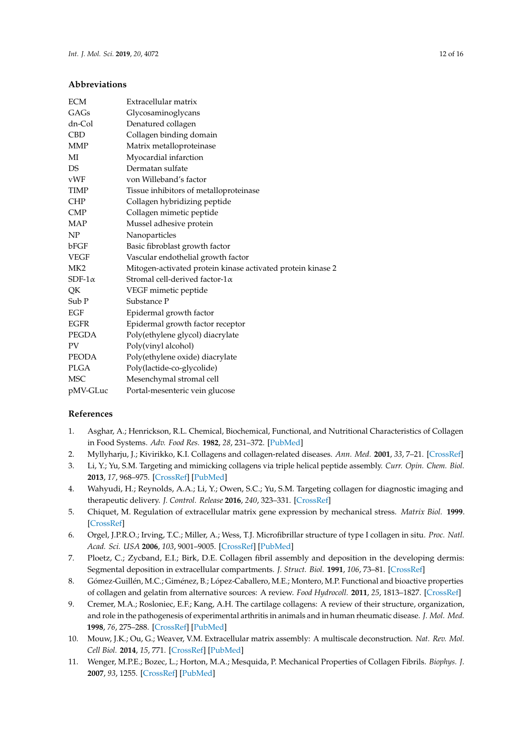## **Abbreviations**

| <b>ECM</b>      | Extracellular matrix                                        |  |  |
|-----------------|-------------------------------------------------------------|--|--|
| GAGs            | Glycosaminoglycans                                          |  |  |
| dn-Col          | Denatured collagen                                          |  |  |
| <b>CBD</b>      | Collagen binding domain                                     |  |  |
| <b>MMP</b>      | Matrix metalloproteinase                                    |  |  |
| МI              | Myocardial infarction                                       |  |  |
| DS              | Dermatan sulfate                                            |  |  |
| vWF             | von Willeband's factor                                      |  |  |
| <b>TIMP</b>     | Tissue inhibitors of metalloproteinase                      |  |  |
| <b>CHP</b>      | Collagen hybridizing peptide                                |  |  |
| <b>CMP</b>      | Collagen mimetic peptide                                    |  |  |
| <b>MAP</b>      | Mussel adhesive protein                                     |  |  |
| NP              | Nanoparticles                                               |  |  |
| bFGF            | Basic fibroblast growth factor                              |  |  |
| <b>VEGF</b>     | Vascular endothelial growth factor                          |  |  |
| MK <sub>2</sub> | Mitogen-activated protein kinase activated protein kinase 2 |  |  |
| $SDF-1\alpha$   | Stromal cell-derived factor- $1\alpha$                      |  |  |
| QK              | VEGF mimetic peptide                                        |  |  |
| Sub P           | Substance P                                                 |  |  |
| EGF             | Epidermal growth factor                                     |  |  |
| EGFR            | Epidermal growth factor receptor                            |  |  |
| <b>PEGDA</b>    | Poly(ethylene glycol) diacrylate                            |  |  |
| PV              | Poly(vinyl alcohol)                                         |  |  |
| PEODA           | Poly(ethylene oxide) diacrylate                             |  |  |
| <b>PLGA</b>     | Poly(lactide-co-glycolide)                                  |  |  |
| <b>MSC</b>      | Mesenchymal stromal cell                                    |  |  |
| pMV-GLuc        | Portal-mesenteric vein glucose                              |  |  |

## **References**

- <span id="page-11-0"></span>1. Asghar, A.; Henrickson, R.L. Chemical, Biochemical, Functional, and Nutritional Characteristics of Collagen in Food Systems. *Adv. Food Res.* **1982**, *28*, 231–372. [\[PubMed\]](http://www.ncbi.nlm.nih.gov/pubmed/6762058)
- <span id="page-11-1"></span>2. Myllyharju, J.; Kivirikko, K.I. Collagens and collagen-related diseases. *Ann. Med.* **2001**, *33*, 7–21. [\[CrossRef\]](http://dx.doi.org/10.3109/07853890109002055)
- <span id="page-11-2"></span>3. Li, Y.; Yu, S.M. Targeting and mimicking collagens via triple helical peptide assembly. *Curr. Opin. Chem. Biol.* **2013**, *17*, 968–975. [\[CrossRef\]](http://dx.doi.org/10.1016/j.cbpa.2013.10.018) [\[PubMed\]](http://www.ncbi.nlm.nih.gov/pubmed/24210894)
- <span id="page-11-3"></span>4. Wahyudi, H.; Reynolds, A.A.; Li, Y.; Owen, S.C.; Yu, S.M. Targeting collagen for diagnostic imaging and therapeutic delivery. *J. Control. Release* **2016**, *240*, 323–331. [\[CrossRef\]](http://dx.doi.org/10.1016/j.jconrel.2016.01.007)
- <span id="page-11-4"></span>5. Chiquet, M. Regulation of extracellular matrix gene expression by mechanical stress. *Matrix Biol.* **1999**. [\[CrossRef\]](http://dx.doi.org/10.1016/S0945-053X(99)00039-6)
- <span id="page-11-5"></span>6. Orgel, J.P.R.O.; Irving, T.C.; Miller, A.; Wess, T.J. Microfibrillar structure of type I collagen in situ. *Proc. Natl. Acad. Sci. USA* **2006**, *103*, 9001–9005. [\[CrossRef\]](http://dx.doi.org/10.1073/pnas.0502718103) [\[PubMed\]](http://www.ncbi.nlm.nih.gov/pubmed/16751282)
- <span id="page-11-6"></span>7. Ploetz, C.; Zycband, E.I.; Birk, D.E. Collagen fibril assembly and deposition in the developing dermis: Segmental deposition in extracellular compartments. *J. Struct. Biol.* **1991**, *106*, 73–81. [\[CrossRef\]](http://dx.doi.org/10.1016/1047-8477(91)90064-4)
- <span id="page-11-7"></span>8. Gómez-Guillén, M.C.; Giménez, B.; López-Caballero, M.E.; Montero, M.P. Functional and bioactive properties of collagen and gelatin from alternative sources: A review. *Food Hydrocoll.* **2011**, *25*, 1813–1827. [\[CrossRef\]](http://dx.doi.org/10.1016/j.foodhyd.2011.02.007)
- <span id="page-11-8"></span>9. Cremer, M.A.; Rosloniec, E.F.; Kang, A.H. The cartilage collagens: A review of their structure, organization, and role in the pathogenesis of experimental arthritis in animals and in human rheumatic disease. *J. Mol. Med.* **1998**, *76*, 275–288. [\[CrossRef\]](http://dx.doi.org/10.1007/s001090050217) [\[PubMed\]](http://www.ncbi.nlm.nih.gov/pubmed/9535561)
- <span id="page-11-9"></span>10. Mouw, J.K.; Ou, G.; Weaver, V.M. Extracellular matrix assembly: A multiscale deconstruction. *Nat. Rev. Mol. Cell Biol.* **2014**, *15*, 771. [\[CrossRef\]](http://dx.doi.org/10.1038/nrm3902) [\[PubMed\]](http://www.ncbi.nlm.nih.gov/pubmed/25370693)
- <span id="page-11-10"></span>11. Wenger, M.P.E.; Bozec, L.; Horton, M.A.; Mesquida, P. Mechanical Properties of Collagen Fibrils. *Biophys. J.* **2007**, *93*, 1255. [\[CrossRef\]](http://dx.doi.org/10.1529/biophysj.106.103192) [\[PubMed\]](http://www.ncbi.nlm.nih.gov/pubmed/17526569)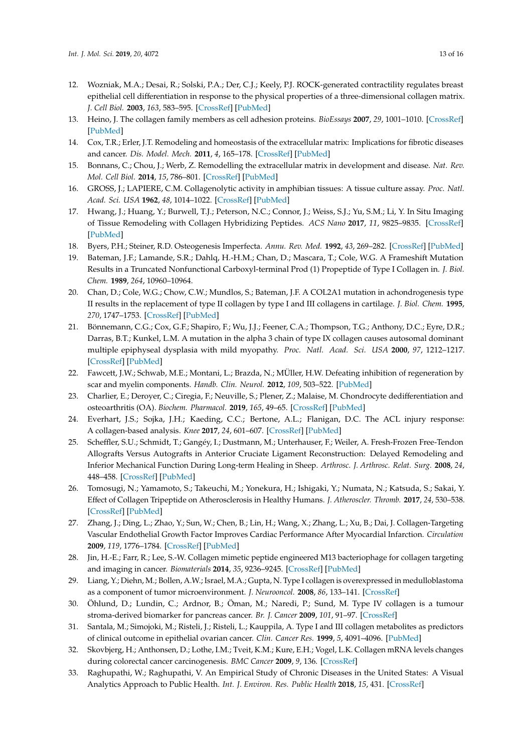- <span id="page-12-0"></span>12. Wozniak, M.A.; Desai, R.; Solski, P.A.; Der, C.J.; Keely, P.J. ROCK-generated contractility regulates breast epithelial cell differentiation in response to the physical properties of a three-dimensional collagen matrix. *J. Cell Biol.* **2003**, *163*, 583–595. [\[CrossRef\]](http://dx.doi.org/10.1083/jcb.200305010) [\[PubMed\]](http://www.ncbi.nlm.nih.gov/pubmed/14610060)
- <span id="page-12-1"></span>13. Heino, J. The collagen family members as cell adhesion proteins. *BioEssays* **2007**, *29*, 1001–1010. [\[CrossRef\]](http://dx.doi.org/10.1002/bies.20636) [\[PubMed\]](http://www.ncbi.nlm.nih.gov/pubmed/17876790)
- <span id="page-12-2"></span>14. Cox, T.R.; Erler, J.T. Remodeling and homeostasis of the extracellular matrix: Implications for fibrotic diseases and cancer. *Dis. Model. Mech.* **2011**, *4*, 165–178. [\[CrossRef\]](http://dx.doi.org/10.1242/dmm.004077) [\[PubMed\]](http://www.ncbi.nlm.nih.gov/pubmed/21324931)
- <span id="page-12-3"></span>15. Bonnans, C.; Chou, J.; Werb, Z. Remodelling the extracellular matrix in development and disease. *Nat. Rev. Mol. Cell Biol.* **2014**, *15*, 786–801. [\[CrossRef\]](http://dx.doi.org/10.1038/nrm3904) [\[PubMed\]](http://www.ncbi.nlm.nih.gov/pubmed/25415508)
- <span id="page-12-4"></span>16. GROSS, J.; LAPIERE, C.M. Collagenolytic activity in amphibian tissues: A tissue culture assay. *Proc. Natl. Acad. Sci. USA* **1962**, *48*, 1014–1022. [\[CrossRef\]](http://dx.doi.org/10.1073/pnas.48.6.1014) [\[PubMed\]](http://www.ncbi.nlm.nih.gov/pubmed/13902219)
- <span id="page-12-5"></span>17. Hwang, J.; Huang, Y.; Burwell, T.J.; Peterson, N.C.; Connor, J.; Weiss, S.J.; Yu, S.M.; Li, Y. In Situ Imaging of Tissue Remodeling with Collagen Hybridizing Peptides. *ACS Nano* **2017**, *11*, 9825–9835. [\[CrossRef\]](http://dx.doi.org/10.1021/acsnano.7b03150) [\[PubMed\]](http://www.ncbi.nlm.nih.gov/pubmed/28877431)
- <span id="page-12-6"></span>18. Byers, P.H.; Steiner, R.D. Osteogenesis Imperfecta. *Annu. Rev. Med.* **1992**, *43*, 269–282. [\[CrossRef\]](http://dx.doi.org/10.1146/annurev.me.43.020192.001413) [\[PubMed\]](http://www.ncbi.nlm.nih.gov/pubmed/1580589)
- <span id="page-12-7"></span>19. Bateman, J.F.; Lamande, S.R.; Dahlq, H.-H.M.; Chan, D.; Mascara, T.; Cole, W.G. A Frameshift Mutation Results in a Truncated Nonfunctional Carboxyl-terminal Prod (1) Propeptide of Type I Collagen in. *J. Biol. Chem.* **1989**, *264*, 10960–10964.
- <span id="page-12-8"></span>20. Chan, D.; Cole, W.G.; Chow, C.W.; Mundlos, S.; Bateman, J.F. A COL2A1 mutation in achondrogenesis type II results in the replacement of type II collagen by type I and III collagens in cartilage. *J. Biol. Chem.* **1995**, *270*, 1747–1753. [\[CrossRef\]](http://dx.doi.org/10.1074/jbc.270.4.1747) [\[PubMed\]](http://www.ncbi.nlm.nih.gov/pubmed/7829510)
- <span id="page-12-9"></span>21. Bönnemann, C.G.; Cox, G.F.; Shapiro, F.; Wu, J.J.; Feener, C.A.; Thompson, T.G.; Anthony, D.C.; Eyre, D.R.; Darras, B.T.; Kunkel, L.M. A mutation in the alpha 3 chain of type IX collagen causes autosomal dominant multiple epiphyseal dysplasia with mild myopathy. *Proc. Natl. Acad. Sci. USA* **2000**, *97*, 1212–1217. [\[CrossRef\]](http://dx.doi.org/10.1073/pnas.97.3.1212) [\[PubMed\]](http://www.ncbi.nlm.nih.gov/pubmed/10655510)
- <span id="page-12-10"></span>22. Fawcett, J.W.; Schwab, M.E.; Montani, L.; Brazda, N.; MÜller, H.W. Defeating inhibition of regeneration by scar and myelin components. *Handb. Clin. Neurol.* **2012**, *109*, 503–522. [\[PubMed\]](http://www.ncbi.nlm.nih.gov/pubmed/23098733)
- <span id="page-12-11"></span>23. Charlier, E.; Deroyer, C.; Ciregia, F.; Neuville, S.; Plener, Z.; Malaise, M. Chondrocyte dedifferentiation and osteoarthritis (OA). *Biochem. Pharmacol.* **2019**, *165*, 49–65. [\[CrossRef\]](http://dx.doi.org/10.1016/j.bcp.2019.02.036) [\[PubMed\]](http://www.ncbi.nlm.nih.gov/pubmed/30853397)
- <span id="page-12-12"></span>24. Everhart, J.S.; Sojka, J.H.; Kaeding, C.C.; Bertone, A.L.; Flanigan, D.C. The ACL injury response: A collagen-based analysis. *Knee* **2017**, *24*, 601–607. [\[CrossRef\]](http://dx.doi.org/10.1016/j.knee.2017.01.013) [\[PubMed\]](http://www.ncbi.nlm.nih.gov/pubmed/28336149)
- <span id="page-12-13"></span>25. Scheffler, S.U.; Schmidt, T.; Gangéy, I.; Dustmann, M.; Unterhauser, F.; Weiler, A. Fresh-Frozen Free-Tendon Allografts Versus Autografts in Anterior Cruciate Ligament Reconstruction: Delayed Remodeling and Inferior Mechanical Function During Long-term Healing in Sheep. *Arthrosc. J. Arthrosc. Relat. Surg.* **2008**, *24*, 448–458. [\[CrossRef\]](http://dx.doi.org/10.1016/j.arthro.2007.10.011) [\[PubMed\]](http://www.ncbi.nlm.nih.gov/pubmed/18375278)
- <span id="page-12-14"></span>26. Tomosugi, N.; Yamamoto, S.; Takeuchi, M.; Yonekura, H.; Ishigaki, Y.; Numata, N.; Katsuda, S.; Sakai, Y. Effect of Collagen Tripeptide on Atherosclerosis in Healthy Humans. *J. Atheroscler. Thromb.* **2017**, *24*, 530–538. [\[CrossRef\]](http://dx.doi.org/10.5551/jat.36293) [\[PubMed\]](http://www.ncbi.nlm.nih.gov/pubmed/27725401)
- <span id="page-12-15"></span>27. Zhang, J.; Ding, L.; Zhao, Y.; Sun, W.; Chen, B.; Lin, H.; Wang, X.; Zhang, L.; Xu, B.; Dai, J. Collagen-Targeting Vascular Endothelial Growth Factor Improves Cardiac Performance After Myocardial Infarction. *Circulation* **2009**, *119*, 1776–1784. [\[CrossRef\]](http://dx.doi.org/10.1161/CIRCULATIONAHA.108.800565) [\[PubMed\]](http://www.ncbi.nlm.nih.gov/pubmed/19307480)
- <span id="page-12-16"></span>28. Jin, H.-E.; Farr, R.; Lee, S.-W. Collagen mimetic peptide engineered M13 bacteriophage for collagen targeting and imaging in cancer. *Biomaterials* **2014**, *35*, 9236–9245. [\[CrossRef\]](http://dx.doi.org/10.1016/j.biomaterials.2014.07.044) [\[PubMed\]](http://www.ncbi.nlm.nih.gov/pubmed/25115789)
- <span id="page-12-17"></span>29. Liang, Y.; Diehn, M.; Bollen, A.W.; Israel, M.A.; Gupta, N. Type I collagen is overexpressed in medulloblastoma as a component of tumor microenvironment. *J. Neurooncol.* **2008**, *86*, 133–141. [\[CrossRef\]](http://dx.doi.org/10.1007/s11060-007-9457-5)
- <span id="page-12-18"></span>30. Öhlund, D.; Lundin, C.; Ardnor, B.; Öman, M.; Naredi, P.; Sund, M. Type IV collagen is a tumour stroma-derived biomarker for pancreas cancer. *Br. J. Cancer* **2009**, *101*, 91–97. [\[CrossRef\]](http://dx.doi.org/10.1038/sj.bjc.6605107)
- <span id="page-12-19"></span>31. Santala, M.; Simojoki, M.; Risteli, J.; Risteli, L.; Kauppila, A. Type I and III collagen metabolites as predictors of clinical outcome in epithelial ovarian cancer. *Clin. Cancer Res.* **1999**, *5*, 4091–4096. [\[PubMed\]](http://www.ncbi.nlm.nih.gov/pubmed/10632345)
- <span id="page-12-20"></span>32. Skovbjerg, H.; Anthonsen, D.; Lothe, I.M.; Tveit, K.M.; Kure, E.H.; Vogel, L.K. Collagen mRNA levels changes during colorectal cancer carcinogenesis. *BMC Cancer* **2009**, *9*, 136. [\[CrossRef\]](http://dx.doi.org/10.1186/1471-2407-9-136)
- <span id="page-12-21"></span>33. Raghupathi, W.; Raghupathi, V. An Empirical Study of Chronic Diseases in the United States: A Visual Analytics Approach to Public Health. *Int. J. Environ. Res. Public Health* **2018**, *15*, 431. [\[CrossRef\]](http://dx.doi.org/10.3390/ijerph15030431)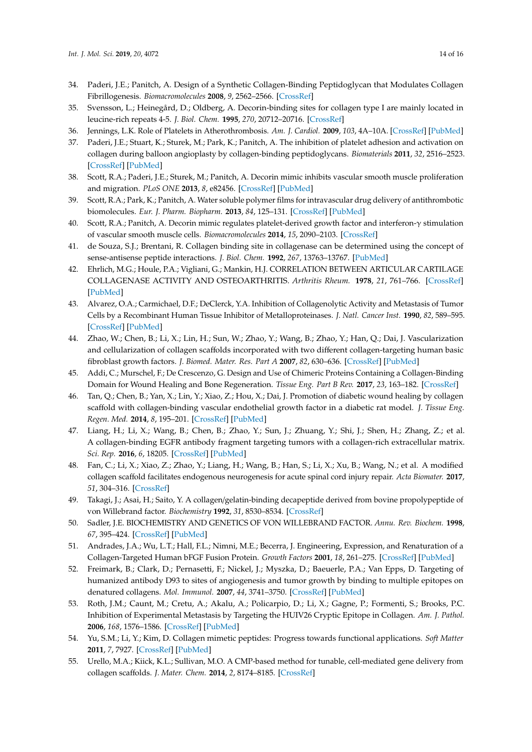- <span id="page-13-0"></span>34. Paderi, J.E.; Panitch, A. Design of a Synthetic Collagen-Binding Peptidoglycan that Modulates Collagen Fibrillogenesis. *Biomacromolecules* **2008**, *9*, 2562–2566. [\[CrossRef\]](http://dx.doi.org/10.1021/bm8006852)
- <span id="page-13-1"></span>35. Svensson, L.; Heinegård, D.; Oldberg, A. Decorin-binding sites for collagen type I are mainly located in leucine-rich repeats 4-5. *J. Biol. Chem.* **1995**, *270*, 20712–20716. [\[CrossRef\]](http://dx.doi.org/10.1074/jbc.270.35.20712)
- <span id="page-13-2"></span>36. Jennings, L.K. Role of Platelets in Atherothrombosis. *Am. J. Cardiol.* **2009**, *103*, 4A–10A. [\[CrossRef\]](http://dx.doi.org/10.1016/j.amjcard.2008.11.017) [\[PubMed\]](http://www.ncbi.nlm.nih.gov/pubmed/19166707)
- <span id="page-13-3"></span>37. Paderi, J.E.; Stuart, K.; Sturek, M.; Park, K.; Panitch, A. The inhibition of platelet adhesion and activation on collagen during balloon angioplasty by collagen-binding peptidoglycans. *Biomaterials* **2011**, *32*, 2516–2523. [\[CrossRef\]](http://dx.doi.org/10.1016/j.biomaterials.2010.12.025) [\[PubMed\]](http://www.ncbi.nlm.nih.gov/pubmed/21216002)
- 38. Scott, R.A.; Paderi, J.E.; Sturek, M.; Panitch, A. Decorin mimic inhibits vascular smooth muscle proliferation and migration. *PLoS ONE* **2013**, *8*, e82456. [\[CrossRef\]](http://dx.doi.org/10.1371/journal.pone.0082456) [\[PubMed\]](http://www.ncbi.nlm.nih.gov/pubmed/24278482)
- 39. Scott, R.A.; Park, K.; Panitch, A. Water soluble polymer films for intravascular drug delivery of antithrombotic biomolecules. *Eur. J. Pharm. Biopharm.* **2013**, *84*, 125–131. [\[CrossRef\]](http://dx.doi.org/10.1016/j.ejpb.2012.12.002) [\[PubMed\]](http://www.ncbi.nlm.nih.gov/pubmed/23262161)
- <span id="page-13-4"></span>40. Scott, R.A.; Panitch, A. Decorin mimic regulates platelet-derived growth factor and interferon-γ stimulation of vascular smooth muscle cells. *Biomacromolecules* **2014**, *15*, 2090–2103. [\[CrossRef\]](http://dx.doi.org/10.1021/bm500224f)
- <span id="page-13-5"></span>41. de Souza, S.J.; Brentani, R. Collagen binding site in collagenase can be determined using the concept of sense-antisense peptide interactions. *J. Biol. Chem.* **1992**, *267*, 13763–13767. [\[PubMed\]](http://www.ncbi.nlm.nih.gov/pubmed/1320031)
- <span id="page-13-6"></span>42. Ehrlich, M.G.; Houle, P.A.; Vigliani, G.; Mankin, H.J. CORRELATION BETWEEN ARTICULAR CARTILAGE COLLAGENASE ACTIVITY AND OSTEOARTHRITIS. *Arthritis Rheum.* **1978**, *21*, 761–766. [\[CrossRef\]](http://dx.doi.org/10.1002/art.1780210704) [\[PubMed\]](http://www.ncbi.nlm.nih.gov/pubmed/212087)
- <span id="page-13-7"></span>43. Alvarez, O.A.; Carmichael, D.F.; DeClerck, Y.A. Inhibition of Collagenolytic Activity and Metastasis of Tumor Cells by a Recombinant Human Tissue Inhibitor of Metalloproteinases. *J. Natl. Cancer Inst.* **1990**, *82*, 589–595. [\[CrossRef\]](http://dx.doi.org/10.1093/jnci/82.7.589) [\[PubMed\]](http://www.ncbi.nlm.nih.gov/pubmed/2156082)
- <span id="page-13-8"></span>44. Zhao, W.; Chen, B.; Li, X.; Lin, H.; Sun, W.; Zhao, Y.; Wang, B.; Zhao, Y.; Han, Q.; Dai, J. Vascularization and cellularization of collagen scaffolds incorporated with two different collagen-targeting human basic fibroblast growth factors. *J. Biomed. Mater. Res. Part A* **2007**, *82*, 630–636. [\[CrossRef\]](http://dx.doi.org/10.1002/jbm.a.31179) [\[PubMed\]](http://www.ncbi.nlm.nih.gov/pubmed/17315233)
- <span id="page-13-12"></span>45. Addi, C.; Murschel, F.; De Crescenzo, G. Design and Use of Chimeric Proteins Containing a Collagen-Binding Domain for Wound Healing and Bone Regeneration. *Tissue Eng. Part B Rev.* **2017**, *23*, 163–182. [\[CrossRef\]](http://dx.doi.org/10.1089/ten.teb.2016.0280)
- <span id="page-13-18"></span>46. Tan, Q.; Chen, B.; Yan, X.; Lin, Y.; Xiao, Z.; Hou, X.; Dai, J. Promotion of diabetic wound healing by collagen scaffold with collagen-binding vascular endothelial growth factor in a diabetic rat model. *J. Tissue Eng. Regen. Med.* **2014**, *8*, 195–201. [\[CrossRef\]](http://dx.doi.org/10.1002/term.1513) [\[PubMed\]](http://www.ncbi.nlm.nih.gov/pubmed/22570298)
- <span id="page-13-19"></span>47. Liang, H.; Li, X.; Wang, B.; Chen, B.; Zhao, Y.; Sun, J.; Zhuang, Y.; Shi, J.; Shen, H.; Zhang, Z.; et al. A collagen-binding EGFR antibody fragment targeting tumors with a collagen-rich extracellular matrix. *Sci. Rep.* **2016**, *6*, 18205. [\[CrossRef\]](http://dx.doi.org/10.1038/srep18205) [\[PubMed\]](http://www.ncbi.nlm.nih.gov/pubmed/26883295)
- <span id="page-13-9"></span>48. Fan, C.; Li, X.; Xiao, Z.; Zhao, Y.; Liang, H.; Wang, B.; Han, S.; Li, X.; Xu, B.; Wang, N.; et al. A modified collagen scaffold facilitates endogenous neurogenesis for acute spinal cord injury repair. *Acta Biomater.* **2017**, *51*, 304–316. [\[CrossRef\]](http://dx.doi.org/10.1016/j.actbio.2017.01.009)
- <span id="page-13-10"></span>49. Takagi, J.; Asai, H.; Saito, Y. A collagen/gelatin-binding decapeptide derived from bovine propolypeptide of von Willebrand factor. *Biochemistry* **1992**, *31*, 8530–8534. [\[CrossRef\]](http://dx.doi.org/10.1021/bi00151a021)
- <span id="page-13-11"></span>50. Sadler, J.E. BIOCHEMISTRY AND GENETICS OF VON WILLEBRAND FACTOR. *Annu. Rev. Biochem.* **1998**, *67*, 395–424. [\[CrossRef\]](http://dx.doi.org/10.1146/annurev.biochem.67.1.395) [\[PubMed\]](http://www.ncbi.nlm.nih.gov/pubmed/9759493)
- <span id="page-13-13"></span>51. Andrades, J.A.; Wu, L.T.; Hall, F.L.; Nimni, M.E.; Becerra, J. Engineering, Expression, and Renaturation of a Collagen-Targeted Human bFGF Fusion Protein. *Growth Factors* **2001**, *18*, 261–275. [\[CrossRef\]](http://dx.doi.org/10.3109/08977190109029115) [\[PubMed\]](http://www.ncbi.nlm.nih.gov/pubmed/11519825)
- <span id="page-13-14"></span>52. Freimark, B.; Clark, D.; Pernasetti, F.; Nickel, J.; Myszka, D.; Baeuerle, P.A.; Van Epps, D. Targeting of humanized antibody D93 to sites of angiogenesis and tumor growth by binding to multiple epitopes on denatured collagens. *Mol. Immunol.* **2007**, *44*, 3741–3750. [\[CrossRef\]](http://dx.doi.org/10.1016/j.molimm.2007.03.027) [\[PubMed\]](http://www.ncbi.nlm.nih.gov/pubmed/17507095)
- <span id="page-13-15"></span>53. Roth, J.M.; Caunt, M.; Cretu, A.; Akalu, A.; Policarpio, D.; Li, X.; Gagne, P.; Formenti, S.; Brooks, P.C. Inhibition of Experimental Metastasis by Targeting the HUIV26 Cryptic Epitope in Collagen. *Am. J. Pathol.* **2006**, *168*, 1576–1586. [\[CrossRef\]](http://dx.doi.org/10.2353/ajpath.2006.050176) [\[PubMed\]](http://www.ncbi.nlm.nih.gov/pubmed/16651624)
- <span id="page-13-16"></span>54. Yu, S.M.; Li, Y.; Kim, D. Collagen mimetic peptides: Progress towards functional applications. *Soft Matter* **2011**, *7*, 7927. [\[CrossRef\]](http://dx.doi.org/10.1039/c1sm05329a) [\[PubMed\]](http://www.ncbi.nlm.nih.gov/pubmed/26316880)
- <span id="page-13-17"></span>55. Urello, M.A.; Kiick, K.L.; Sullivan, M.O. A CMP-based method for tunable, cell-mediated gene delivery from collagen scaffolds. *J. Mater. Chem.* **2014**, *2*, 8174–8185. [\[CrossRef\]](http://dx.doi.org/10.1039/C4TB01435A)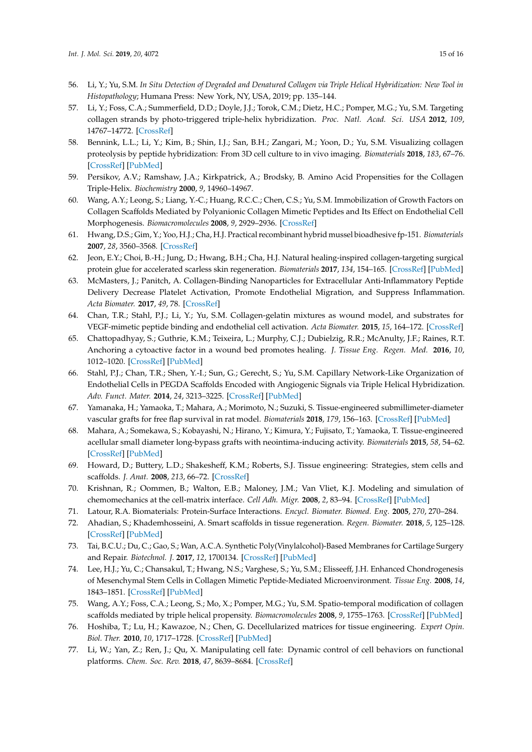- <span id="page-14-0"></span>56. Li, Y.; Yu, S.M. *In Situ Detection of Degraded and Denatured Collagen via Triple Helical Hybridization: New Tool in Histopathology*; Humana Press: New York, NY, USA, 2019; pp. 135–144.
- <span id="page-14-1"></span>57. Li, Y.; Foss, C.A.; Summerfield, D.D.; Doyle, J.J.; Torok, C.M.; Dietz, H.C.; Pomper, M.G.; Yu, S.M. Targeting collagen strands by photo-triggered triple-helix hybridization. *Proc. Natl. Acad. Sci. USA* **2012**, *109*, 14767–14772. [\[CrossRef\]](http://dx.doi.org/10.1073/pnas.1209721109)
- <span id="page-14-2"></span>58. Bennink, L.L.; Li, Y.; Kim, B.; Shin, I.J.; San, B.H.; Zangari, M.; Yoon, D.; Yu, S.M. Visualizing collagen proteolysis by peptide hybridization: From 3D cell culture to in vivo imaging. *Biomaterials* **2018**, *183*, 67–76. [\[CrossRef\]](http://dx.doi.org/10.1016/j.biomaterials.2018.08.039) [\[PubMed\]](http://www.ncbi.nlm.nih.gov/pubmed/30149231)
- <span id="page-14-3"></span>59. Persikov, A.V.; Ramshaw, J.A.; Kirkpatrick, A.; Brodsky, B. Amino Acid Propensities for the Collagen Triple-Helix. *Biochemistry* **2000**, *9*, 14960–14967.
- <span id="page-14-4"></span>60. Wang, A.Y.; Leong, S.; Liang, Y.-C.; Huang, R.C.C.; Chen, C.S.; Yu, S.M. Immobilization of Growth Factors on Collagen Scaffolds Mediated by Polyanionic Collagen Mimetic Peptides and Its Effect on Endothelial Cell Morphogenesis. *Biomacromolecules* **2008**, *9*, 2929–2936. [\[CrossRef\]](http://dx.doi.org/10.1021/bm800727z)
- <span id="page-14-5"></span>61. Hwang, D.S.; Gim, Y.; Yoo, H.J.; Cha, H.J. Practical recombinant hybrid mussel bioadhesive fp-151. *Biomaterials* **2007**, *28*, 3560–3568. [\[CrossRef\]](http://dx.doi.org/10.1016/j.biomaterials.2007.04.039)
- <span id="page-14-6"></span>62. Jeon, E.Y.; Choi, B.-H.; Jung, D.; Hwang, B.H.; Cha, H.J. Natural healing-inspired collagen-targeting surgical protein glue for accelerated scarless skin regeneration. *Biomaterials* **2017**, *134*, 154–165. [\[CrossRef\]](http://dx.doi.org/10.1016/j.biomaterials.2017.04.041) [\[PubMed\]](http://www.ncbi.nlm.nih.gov/pubmed/28463693)
- <span id="page-14-7"></span>63. McMasters, J.; Panitch, A. Collagen-Binding Nanoparticles for Extracellular Anti-Inflammatory Peptide Delivery Decrease Platelet Activation, Promote Endothelial Migration, and Suppress Inflammation. *Acta Biomater.* **2017**, *49*, 78. [\[CrossRef\]](http://dx.doi.org/10.1016/j.actbio.2016.11.023)
- <span id="page-14-8"></span>64. Chan, T.R.; Stahl, P.J.; Li, Y.; Yu, S.M. Collagen-gelatin mixtures as wound model, and substrates for VEGF-mimetic peptide binding and endothelial cell activation. *Acta Biomater.* **2015**, *15*, 164–172. [\[CrossRef\]](http://dx.doi.org/10.1016/j.actbio.2015.01.005)
- <span id="page-14-9"></span>65. Chattopadhyay, S.; Guthrie, K.M.; Teixeira, L.; Murphy, C.J.; Dubielzig, R.R.; McAnulty, J.F.; Raines, R.T. Anchoring a cytoactive factor in a wound bed promotes healing. *J. Tissue Eng. Regen. Med.* **2016**, *10*, 1012–1020. [\[CrossRef\]](http://dx.doi.org/10.1002/term.1886) [\[PubMed\]](http://www.ncbi.nlm.nih.gov/pubmed/24677775)
- <span id="page-14-10"></span>66. Stahl, P.J.; Chan, T.R.; Shen, Y.-I.; Sun, G.; Gerecht, S.; Yu, S.M. Capillary Network-Like Organization of Endothelial Cells in PEGDA Scaffolds Encoded with Angiogenic Signals via Triple Helical Hybridization. *Adv. Funct. Mater.* **2014**, *24*, 3213–3225. [\[CrossRef\]](http://dx.doi.org/10.1002/adfm.201303217) [\[PubMed\]](http://www.ncbi.nlm.nih.gov/pubmed/25541582)
- <span id="page-14-11"></span>67. Yamanaka, H.; Yamaoka, T.; Mahara, A.; Morimoto, N.; Suzuki, S. Tissue-engineered submillimeter-diameter vascular grafts for free flap survival in rat model. *Biomaterials* **2018**, *179*, 156–163. [\[CrossRef\]](http://dx.doi.org/10.1016/j.biomaterials.2018.06.022) [\[PubMed\]](http://www.ncbi.nlm.nih.gov/pubmed/29986233)
- <span id="page-14-12"></span>68. Mahara, A.; Somekawa, S.; Kobayashi, N.; Hirano, Y.; Kimura, Y.; Fujisato, T.; Yamaoka, T. Tissue-engineered acellular small diameter long-bypass grafts with neointima-inducing activity. *Biomaterials* **2015**, *58*, 54–62. [\[CrossRef\]](http://dx.doi.org/10.1016/j.biomaterials.2015.04.031) [\[PubMed\]](http://www.ncbi.nlm.nih.gov/pubmed/25941782)
- <span id="page-14-13"></span>69. Howard, D.; Buttery, L.D.; Shakesheff, K.M.; Roberts, S.J. Tissue engineering: Strategies, stem cells and scaffolds. *J. Anat.* **2008**, *213*, 66–72. [\[CrossRef\]](http://dx.doi.org/10.1111/j.1469-7580.2008.00878.x)
- <span id="page-14-14"></span>70. Krishnan, R.; Oommen, B.; Walton, E.B.; Maloney, J.M.; Van Vliet, K.J. Modeling and simulation of chemomechanics at the cell-matrix interface. *Cell Adh. Migr.* **2008**, *2*, 83–94. [\[CrossRef\]](http://dx.doi.org/10.4161/cam.2.2.6154) [\[PubMed\]](http://www.ncbi.nlm.nih.gov/pubmed/19262102)
- <span id="page-14-15"></span>71. Latour, R.A. Biomaterials: Protein-Surface Interactions. *Encycl. Biomater. Biomed. Eng.* **2005**, *270*, 270–284.
- <span id="page-14-16"></span>72. Ahadian, S.; Khademhosseini, A. Smart scaffolds in tissue regeneration. *Regen. Biomater.* **2018**, *5*, 125–128. [\[CrossRef\]](http://dx.doi.org/10.1093/rb/rby007) [\[PubMed\]](http://www.ncbi.nlm.nih.gov/pubmed/29977595)
- <span id="page-14-17"></span>73. Tai, B.C.U.; Du, C.; Gao, S.; Wan, A.C.A. Synthetic Poly(Vinylalcohol)-Based Membranes for Cartilage Surgery and Repair. *Biotechnol. J.* **2017**, *12*, 1700134. [\[CrossRef\]](http://dx.doi.org/10.1002/biot.201700134) [\[PubMed\]](http://www.ncbi.nlm.nih.gov/pubmed/28892260)
- <span id="page-14-18"></span>74. Lee, H.J.; Yu, C.; Chansakul, T.; Hwang, N.S.; Varghese, S.; Yu, S.M.; Elisseeff, J.H. Enhanced Chondrogenesis of Mesenchymal Stem Cells in Collagen Mimetic Peptide-Mediated Microenvironment. *Tissue Eng.* **2008**, *14*, 1843–1851. [\[CrossRef\]](http://dx.doi.org/10.1089/ten.tea.2007.0204) [\[PubMed\]](http://www.ncbi.nlm.nih.gov/pubmed/18826339)
- <span id="page-14-19"></span>75. Wang, A.Y.; Foss, C.A.; Leong, S.; Mo, X.; Pomper, M.G.; Yu, S.M. Spatio-temporal modification of collagen scaffolds mediated by triple helical propensity. *Biomacromolecules* **2008**, *9*, 1755–1763. [\[CrossRef\]](http://dx.doi.org/10.1021/bm701378k) [\[PubMed\]](http://www.ncbi.nlm.nih.gov/pubmed/18547103)
- <span id="page-14-20"></span>76. Hoshiba, T.; Lu, H.; Kawazoe, N.; Chen, G. Decellularized matrices for tissue engineering. *Expert Opin. Biol. Ther.* **2010**, *10*, 1717–1728. [\[CrossRef\]](http://dx.doi.org/10.1517/14712598.2010.534079) [\[PubMed\]](http://www.ncbi.nlm.nih.gov/pubmed/21058932)
- <span id="page-14-21"></span>77. Li, W.; Yan, Z.; Ren, J.; Qu, X. Manipulating cell fate: Dynamic control of cell behaviors on functional platforms. *Chem. Soc. Rev.* **2018**, *47*, 8639–8684. [\[CrossRef\]](http://dx.doi.org/10.1039/C8CS00053K)